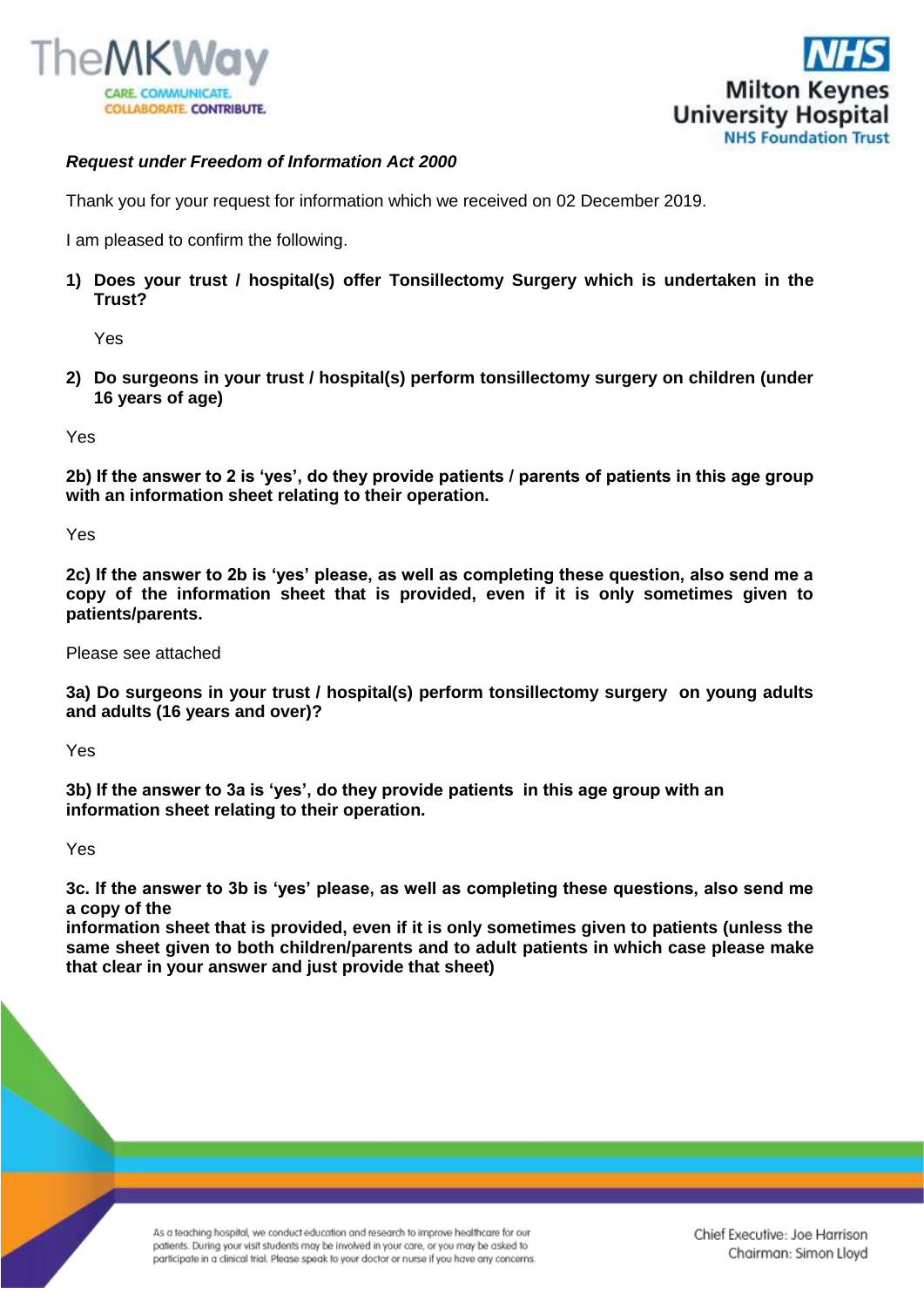



## *Request under Freedom of Information Act 2000*

Thank you for your request for information which we received on 02 December 2019.

I am pleased to confirm the following.

**1) Does your trust / hospital(s) offer Tonsillectomy Surgery which is undertaken in the Trust?**

Yes

**2) Do surgeons in your trust / hospital(s) perform tonsillectomy surgery on children (under 16 years of age)**

Yes

**2b) If the answer to 2 is 'yes', do they provide patients / parents of patients in this age group with an information sheet relating to their operation.**

Yes

**2c) If the answer to 2b is 'yes' please, as well as completing these question, also send me a copy of the information sheet that is provided, even if it is only sometimes given to patients/parents.**

Please see attached

**3a) Do surgeons in your trust / hospital(s) perform tonsillectomy surgery on young adults and adults (16 years and over)?**

Yes

**3b) If the answer to 3a is 'yes', do they provide patients in this age group with an information sheet relating to their operation.**

Yes

**3c. If the answer to 3b is 'yes' please, as well as completing these questions, also send me a copy of the** 

**information sheet that is provided, even if it is only sometimes given to patients (unless the same sheet given to both children/parents and to adult patients in which case please make that clear in your answer and just provide that sheet)**

> As a teaching hospital, we conduct education and research to improve healthcare for our patients. During your visit students may be involved in your care, or you may be asked to participate in a clinical trial. Please speak to your doctor or nurse if you have any concerns.